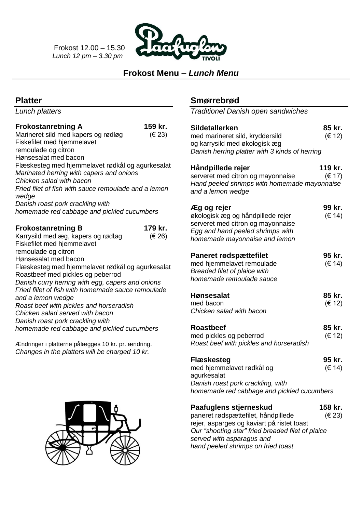Frokost 12.00 – 15.30  *Lunch 12 pm – 3.30 pm*



# **Frokost Menu –** *Lunch Menu*

# **Platter**

*Lunch platters*

#### **Frokostanretning A 159 kr.**

| ι ινηνοιαπισιπιιγ π                                  | 1 JJ NI .  |
|------------------------------------------------------|------------|
| Marineret sild med kapers og rødløg                  | (E 23)     |
| Fiskefilet med hjemmelavet                           |            |
| remoulade og citron                                  |            |
| Hønsesalat med bacon                                 |            |
| Flæskesteg med hjemmelavet rødkål og agurkesalat     |            |
| Marinated herring with capers and onions             |            |
| Chicken salad with bacon                             |            |
| Fried filet of fish with sauce remoulade and a lemon |            |
| wedge                                                |            |
| Danish roast pork crackling with                     |            |
| homemade red cabbage and pickled cucumbers           |            |
|                                                      |            |
| <b>Frokostanretning B</b>                            | 179 kr.    |
| Karrysild med æg, kapers og rødløg                   | $(\in 26)$ |
| Fiskefilet med hjemmelavet                           |            |
| remoulade og citron                                  |            |
| Hønsesalat med bacon                                 |            |
| Flæskesteg med hjemmelavet rødkål og agurkesalat     |            |
| Roastbeef med pickles og peberrod                    |            |
| Danish curry herring with egg, capers and onions     |            |
| Fried fillet of fish with homemade sauce remoulade   |            |
| and a lemon wedge                                    |            |
| Roast beef with pickles and horseradish              |            |
| Chicken salad served with bacon                      |            |
| Danish roast pork crackling with                     |            |
| homemade red cabbage and pickled cucumbers           |            |
|                                                      |            |
|                                                      |            |

Ændringer i platterne pålægges 10 kr. pr. ændring. *Changes in the platters will be charged 10 kr.*



# **Smørrebrød**

*Traditionel Danish open sandwiches*

| <b>Sildetallerken</b><br>med marineret sild, kryddersild<br>og karrysild med økologisk æg<br>Danish herring platter with 3 kinds of herring                | 85 kr.<br>(€ 12)  |
|------------------------------------------------------------------------------------------------------------------------------------------------------------|-------------------|
| Håndpillede rejer<br>serveret med citron og mayonnaise<br>Hand peeled shrimps with homemade mayonnaise<br>and a lemon wedge                                | 119 kr.<br>(E 17) |
| Æg og rejer<br>økologisk æg og håndpillede rejer<br>serveret med citron og mayonnaise<br>Egg and hand peeled shrimps with<br>homemade mayonnaise and lemon | 99 kr.<br>(€ 14)  |
| <b>Paneret rødspættefilet</b><br>med hjemmelavet remoulade<br>Breaded filet of plaice with<br>homemade remoulade sauce                                     | 95 kr.<br>(€ 14)  |
| <b>Hønsesalat</b><br>med bacon<br>Chicken salad with bacon                                                                                                 | 85 kr.<br>(€ 12)  |
| <b>Roastbeef</b><br>med pickles og peberrod<br>Roast beef with pickles and horseradish                                                                     | 85 kr.<br>(E 12)  |
| <b>Flæskesteg</b><br>med hjemmelavet rødkål og<br>agurkesalat<br>Danish roast pork crackling, with<br>homemade red cabbage and pickled cucumbers           | 95 kr.<br>(€ 14)  |
| Paafuglens stjerneskud<br>paneret rødspættefilet, håndpillede<br>reier, asparges og kaviart på ristet toast                                                | 158 kr.<br>(€ 23) |

rejer, asparges og kaviart på ristet toast *Our "shooting star" fried breaded filet of plaice served with asparagus and hand peeled shrimps on fried toast*